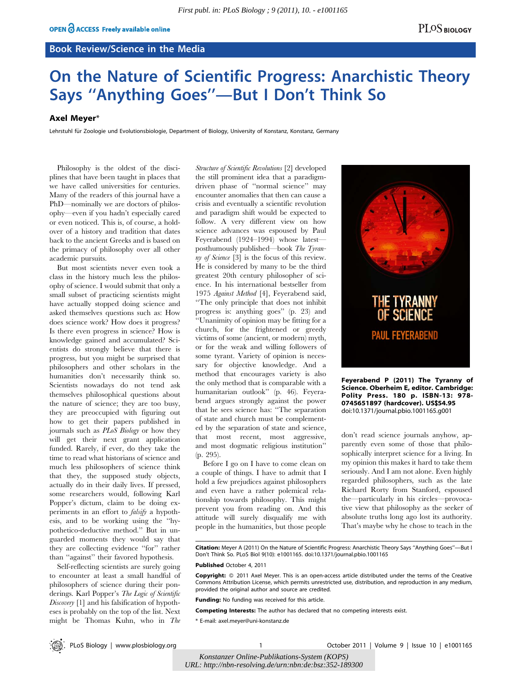## Book Review/Science in the Media

# On the Nature of Scientific Progress: Anarchistic Theory Says ''Anything Goes''—But I Don't Think So

## Axel Meyer\*

Lehrstuhl für Zoologie und Evolutionsbiologie, Department of Biology, University of Konstanz, Konstanz, Germany

Philosophy is the oldest of the disciplines that have been taught in places that we have called universities for centuries. Many of the readers of this journal have a PhD—nominally we are doctors of philosophy—even if you hadn't especially cared or even noticed. This is, of course, a holdover of a history and tradition that dates back to the ancient Greeks and is based on the primacy of philosophy over all other academic pursuits.

But most scientists never even took a class in the history much less the philosophy of science. I would submit that only a small subset of practicing scientists might have actually stopped doing science and asked themselves questions such as: How does science work? How does it progress? Is there even progress in science? How is knowledge gained and accumulated? Scientists do strongly believe that there is progress, but you might be surprised that philosophers and other scholars in the humanities don't necessarily think so. Scientists nowadays do not tend ask themselves philosophical questions about the nature of science; they are too busy, they are preoccupied with figuring out how to get their papers published in journals such as PLoS Biology or how they will get their next grant application funded. Rarely, if ever, do they take the time to read what historians of science and much less philosophers of science think that they, the supposed study objects, actually do in their daily lives. If pressed, some researchers would, following Karl Popper's dictum, claim to be doing experiments in an effort to falsify a hypothesis, and to be working using the ''hypothetico-deductive method.'' But in unguarded moments they would say that they are collecting evidence ''for'' rather than ''against'' their favored hypothesis.

Self-reflecting scientists are surely going to encounter at least a small handful of philosophers of science during their ponderings. Karl Popper's The Logic of Scientific Discovery [1] and his falsification of hypotheses is probably on the top of the list. Next might be Thomas Kuhn, who in The Structure of Scientific Revolutions [2] developed the still prominent idea that a paradigmdriven phase of ''normal science'' may encounter anomalies that then can cause a crisis and eventually a scientific revolution and paradigm shift would be expected to follow. A very different view on how science advances was espoused by Paul Feyerabend (1924–1994) whose latest posthumously published—book The Tyranny of Science [3] is the focus of this review. He is considered by many to be the third greatest 20th century philosopher of science. In his international bestseller from 1975 Against Method [4], Feyerabend said, ''The only principle that does not inhibit progress is: anything goes'' (p. 23) and ''Unanimity of opinion may be fitting for a church, for the frightened or greedy victims of some (ancient, or modern) myth, or for the weak and willing followers of some tyrant. Variety of opinion is necessary for objective knowledge. And a method that encourages variety is also the only method that is comparable with a humanitarian outlook'' (p. 46). Feyerabend argues strongly against the power that he sees science has: ''The separation of state and church must be complemented by the separation of state and science, that most recent, most aggressive, and most dogmatic religious institution'' (p. 295).

Before I go on I have to come clean on a couple of things. I have to admit that I hold a few prejudices against philosophers and even have a rather polemical relationship towards philosophy. This might prevent you from reading on. And this attitude will surely disqualify me with people in the humanities, but those people



Feyerabend P (2011) The Tyranny of Science. Oberheim E, editor. Cambridge: Polity Press. 180 p. ISBN-13: 978- 0745651897 (hardcover). US\$54.95 doi:10.1371/journal.pbio.1001165.g001

don't read science journals anyhow, apparently even some of those that philosophically interpret science for a living. In my opinion this makes it hard to take them seriously. And I am not alone. Even highly regarded philosophers, such as the late Richard Rorty from Stanford, espoused the—particularly in his circles—provocative view that philosophy as the seeker of absolute truths long ago lost its authority. That's maybe why he chose to teach in the

Citation: Meyer A (2011) On the Nature of Scientific Progress: Anarchistic Theory Says ''Anything Goes''—But I Don't Think So. PLoS Biol 9(10): e1001165. doi:10.1371/journal.pbio.1001165

Published October 4, 2011

Copyright: © 2011 Axel Meyer. This is an open-access article distributed under the terms of the Creative Commons Attribution License, which permits unrestricted use, distribution, and reproduction in any medium, provided the original author and source are credited.

Funding: No funding was received for this article.

Competing Interests: The author has declared that no competing interests exist.

\* E-mail: axel.meyer@uni-konstanz.de

PLoS Biology | www.plosbiology.org 1 1 October 2011 | Volume 9 | Issue 10 | e1001165

*Konstanzer Online-Publikations-System (KOPS) URL[: http://nbn-resolving.de/urn:nbn:de:bsz:352-189300](http://nbn-resolving.de/urn:nbn:de:bsz:352-189300)*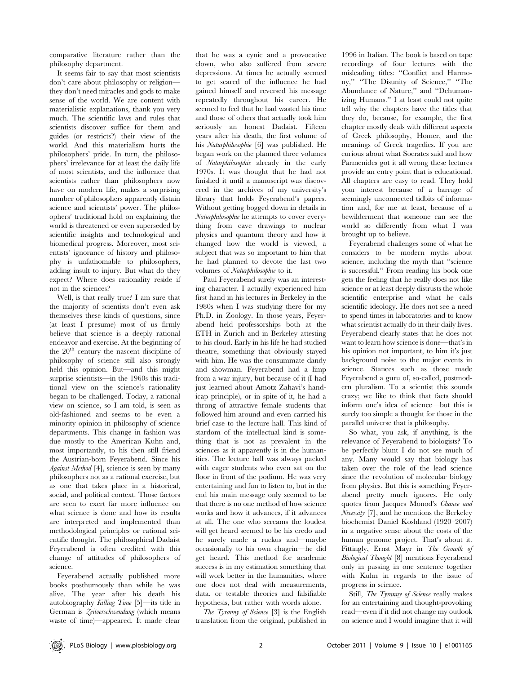comparative literature rather than the philosophy department.

It seems fair to say that most scientists don't care about philosophy or religion they don't need miracles and gods to make sense of the world. We are content with materialistic explanations, thank you very much. The scientific laws and rules that scientists discover suffice for them and guides (or restricts?) their view of the world. And this materialism hurts the philosophers' pride. In turn, the philosophers' irrelevance for at least the daily life of most scientists, and the influence that scientists rather than philosophers now have on modern life, makes a surprising number of philosophers apparently distain science and scientists' power. The philosophers' traditional hold on explaining the world is threatened or even superseded by scientific insights and technological and biomedical progress. Moreover, most scientists' ignorance of history and philosophy is unfathomable to philosophers, adding insult to injury. But what do they expect? Where does rationality reside if not in the sciences?

Well, is that really true? I am sure that the majority of scientists don't even ask themselves these kinds of questions, since (at least I presume) most of us firmly believe that science is a deeply rational endeavor and exercise. At the beginning of the  $20<sup>th</sup>$  century the nascent discipline of philosophy of science still also strongly held this opinion. But—and this might surprise scientists—in the 1960s this traditional view on the science's rationality began to be challenged. Today, a rational view on science, so I am told, is seen as old-fashioned and seems to be even a minority opinion in philosophy of science departments. This change in fashion was due mostly to the American Kuhn and, most importantly, to his then still friend the Austrian-born Feyerabend. Since his Against Method [4], science is seen by many philosophers not as a rational exercise, but as one that takes place in a historical, social, and political context. Those factors are seen to exert far more influence on what science is done and how its results are interpreted and implemented than methodological principles or rational scientific thought. The philosophical Dadaist Feyerabend is often credited with this change of attitudes of philosophers of science.

Feyerabend actually published more books posthumously than while he was alive. The year after his death his autobiography Killing Time [5]—its title in German is Zeitverschwendung (which means waste of time)—appeared. It made clear that he was a cynic and a provocative clown, who also suffered from severe depressions. At times he actually seemed to get scared of the influence he had gained himself and reversed his message repeatedly throughout his career. He seemed to feel that he had wasted his time and those of others that actually took him seriously—an honest Dadaist. Fifteen years after his death, the first volume of his Naturphilosophie [6] was published. He began work on the planned three volumes of Naturphilosophie already in the early 1970s. It was thought that he had not finished it until a manuscript was discovered in the archives of my university's library that holds Feyerabend's papers. Without getting bogged down in details in Naturphilosophie he attempts to cover everything from cave drawings to nuclear physics and quantum theory and how it changed how the world is viewed, a subject that was so important to him that he had planned to devote the last two volumes of Naturphilosophie to it.

Paul Feyerabend surely was an interesting character. I actually experienced him first hand in his lectures in Berkeley in the 1980s when I was studying there for my Ph.D. in Zoology. In those years, Feyerabend held professorships both at the ETH in Zurich and in Berkeley attesting to his cloud. Early in his life he had studied theatre, something that obviously stayed with him. He was the consummate dandy and showman. Feyerabend had a limp from a war injury, but because of it (I had just learned about Amotz Zahavi's handicap principle), or in spite of it, he had a throng of attractive female students that followed him around and even carried his brief case to the lecture hall. This kind of stardom of the intellectual kind is something that is not as prevalent in the sciences as it apparently is in the humanities. The lecture hall was always packed with eager students who even sat on the floor in front of the podium. He was very entertaining and fun to listen to, but in the end his main message only seemed to be that there is no one method of how science works and how it advances, if it advances at all. The one who screams the loudest will get heard seemed to be his credo and he surely made a ruckus and—maybe occasionally to his own chagrin—he did get heard. This method for academic success is in my estimation something that will work better in the humanities, where one does not deal with measurements, data, or testable theories and falsifiable hypothesis, but rather with words alone.

The Tyranny of Science [3] is the English translation from the original, published in 1996 in Italian. The book is based on tape recordings of four lectures with the misleading titles: ''Conflict and Harmony,'' ''The Disunity of Science,'' ''The Abundance of Nature,'' and ''Dehumanizing Humans.'' I at least could not quite tell why the chapters have the titles that they do, because, for example, the first chapter mostly deals with different aspects of Greek philosophy, Homer, and the meanings of Greek tragedies. If you are curious about what Socrates said and how Parmenides got it all wrong these lectures provide an entry point that is educational. All chapters are easy to read. They hold your interest because of a barrage of seemingly unconnected tidbits of information and, for me at least, because of a bewilderment that someone can see the world so differently from what I was brought up to believe.

Feyerabend challenges some of what he considers to be modern myths about science, including the myth that ''science is successful.'' From reading his book one gets the feeling that he really does not like science or at least deeply distrusts the whole scientific enterprise and what he calls scientific ideology. He does not see a need to spend times in laboratories and to know what scientist actually do in their daily lives. Feyerabend clearly states that he does not want to learn how science is done—that's in his opinion not important, to him it's just background noise to the major events in science. Stances such as those made Feyerabend a guru of, so-called, postmodern pluralism. To a scientist this sounds crazy; we like to think that facts should inform one's idea of science—but this is surely too simple a thought for those in the parallel universe that is philosophy.

So what, you ask, if anything, is the relevance of Feyerabend to biologists? To be perfectly blunt I do not see much of any. Many would say that biology has taken over the role of the lead science since the revolution of molecular biology from physics. But this is something Feyerabend pretty much ignores. He only quotes from Jacques Monod's Chance and Necessity [7], and he mentions the Berkeley biochemist Daniel Koshland (1920–2007) in a negative sense about the costs of the human genome project. That's about it. Fittingly, Ernst Mayr in The Growth of Biological Thought [8] mentions Feyerabend only in passing in one sentence together with Kuhn in regards to the issue of progress in science.

Still, The Tyranny of Science really makes for an entertaining and thought-provoking read—even if it did not change my outlook on science and I would imagine that it will